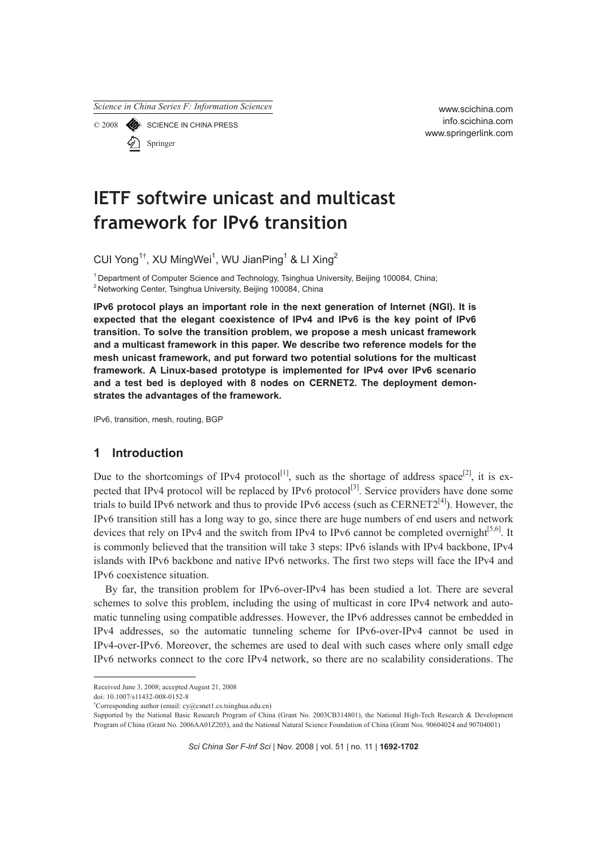*Science in China Series F: Information Sciences*

© 2008 SCIENCE IN CHINA PRESS Springer

www.scichina.com info.scichina.com www.springerlink.com

# **IETF softwire unicast and multicast framework for IPv6 transition**

CUI Yong<sup>1†</sup>, XU MingWei<sup>1</sup>, WU JianPing<sup>1</sup> & LI Xing<sup>2</sup>

<sup>1</sup> Department of Computer Science and Technology, Tsinghua University, Beijing 100084, China;  $2$  Networking Center, Tsinghua University, Beijing 100084, China;

**IPv6 protocol plays an important role in the next generation of Internet (NGI). It is expected that the elegant coexistence of IPv4 and IPv6 is the key point of IPv6 transition. To solve the transition problem, we propose a mesh unicast framework and a multicast framework in this paper. We describe two reference models for the mesh unicast framework, and put forward two potential solutions for the multicast framework. A Linux-based prototype is implemented for IPv4 over IPv6 scenario and a test bed is deployed with 8 nodes on CERNET2. The deployment demonstrates the advantages of the framework.** 

IPv6, transition, mesh, routing, BGP

# **1 Introduction**

Due to the shortcomings of IPv4 protocol<sup>[1]</sup>, such as the shortage of address space<sup>[2]</sup>, it is expected that IPv4 protocol will be replaced by IPv6 protocol<sup>[3]</sup>. Service providers have done some trials to build IPv6 network and thus to provide IPv6 access (such as  $CERNET2^{[4]}$ ). However, the IPv6 transition still has a long way to go, since there are huge numbers of end users and network devices that rely on IPv4 and the switch from IPv4 to IPv6 cannot be completed overnight $[5,6]$ . It is commonly believed that the transition will take 3 steps: IPv6 islands with IPv4 backbone, IPv4 islands with IPv6 backbone and native IPv6 networks. The first two steps will face the IPv4 and IPv6 coexistence situation.

By far, the transition problem for IPv6-over-IPv4 has been studied a lot. There are several schemes to solve this problem, including the using of multicast in core IPv4 network and automatic tunneling using compatible addresses. However, the IPv6 addresses cannot be embedded in IPv4 addresses, so the automatic tunneling scheme for IPv6-over-IPv4 cannot be used in IPv4-over-IPv6. Moreover, the schemes are used to deal with such cases where only small edge IPv6 networks connect to the core IPv4 network, so there are no scalability considerations. The

*Sci China Ser F-Inf Sci* | Nov. 2008 | vol. 51 | no. 11 | **1692-1702**

Received June 3, 2008; accepted August 21, 2008

doi: 10.1007/s11432-008-0152-8

<sup>†</sup> Corresponding author (email: cy@csnet1.cs.tsinghua.edu.cn)

Supported by the National Basic Research Program of China (Grant No. 2003CB314801), the National High-Tech Research & Development Program of China (Grant No. 2006AA01Z205), and the National Natural Science Foundation of China (Grant Nos. 90604024 and 90704001)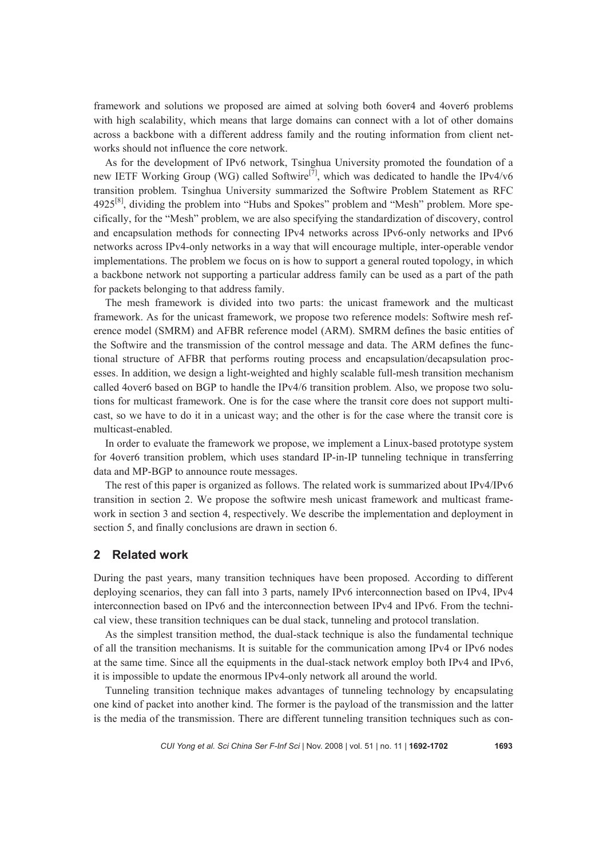framework and solutions we proposed are aimed at solving both 6over4 and 4over6 problems with high scalability, which means that large domains can connect with a lot of other domains across a backbone with a different address family and the routing information from client networks should not influence the core network.

As for the development of IPv6 network, Tsinghua University promoted the foundation of a new IETF Working Group (WG) called Softwire<sup>[7]</sup>, which was dedicated to handle the IPv4/v6 transition problem. Tsinghua University summarized the Softwire Problem Statement as RFC  $4925^{81}$ , dividing the problem into "Hubs and Spokes" problem and "Mesh" problem. More specifically, for the "Mesh" problem, we are also specifying the standardization of discovery, control and encapsulation methods for connecting IPv4 networks across IPv6-only networks and IPv6 networks across IPv4-only networks in a way that will encourage multiple, inter-operable vendor implementations. The problem we focus on is how to support a general routed topology, in which a backbone network not supporting a particular address family can be used as a part of the path for packets belonging to that address family.

The mesh framework is divided into two parts: the unicast framework and the multicast framework. As for the unicast framework, we propose two reference models: Softwire mesh reference model (SMRM) and AFBR reference model (ARM). SMRM defines the basic entities of the Softwire and the transmission of the control message and data. The ARM defines the functional structure of AFBR that performs routing process and encapsulation/decapsulation processes. In addition, we design a light-weighted and highly scalable full-mesh transition mechanism called 4over6 based on BGP to handle the IPv4/6 transition problem. Also, we propose two solutions for multicast framework. One is for the case where the transit core does not support multicast, so we have to do it in a unicast way; and the other is for the case where the transit core is multicast-enabled.

In order to evaluate the framework we propose, we implement a Linux-based prototype system for 4over6 transition problem, which uses standard IP-in-IP tunneling technique in transferring data and MP-BGP to announce route messages.

The rest of this paper is organized as follows. The related work is summarized about IPv4/IPv6 transition in section 2. We propose the softwire mesh unicast framework and multicast framework in section 3 and section 4, respectively. We describe the implementation and deployment in section 5, and finally conclusions are drawn in section 6.

## **2 Related work**

During the past years, many transition techniques have been proposed. According to different deploying scenarios, they can fall into 3 parts, namely IPv6 interconnection based on IPv4, IPv4 interconnection based on IPv6 and the interconnection between IPv4 and IPv6. From the technical view, these transition techniques can be dual stack, tunneling and protocol translation.

As the simplest transition method, the dual-stack technique is also the fundamental technique of all the transition mechanisms. It is suitable for the communication among IPv4 or IPv6 nodes at the same time. Since all the equipments in the dual-stack network employ both IPv4 and IPv6, it is impossible to update the enormous IPv4-only network all around the world.

Tunneling transition technique makes advantages of tunneling technology by encapsulating one kind of packet into another kind. The former is the payload of the transmission and the latter is the media of the transmission. There are different tunneling transition techniques such as con-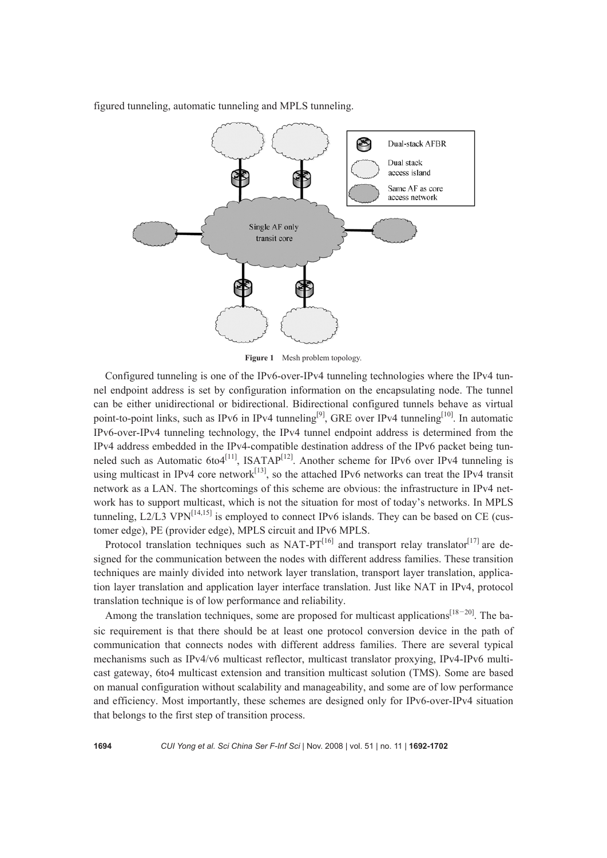



**Figure 1** Mesh problem topology.

Configured tunneling is one of the IPv6-over-IPv4 tunneling technologies where the IPv4 tunnel endpoint address is set by configuration information on the encapsulating node. The tunnel can be either unidirectional or bidirectional. Bidirectional configured tunnels behave as virtual point-to-point links, such as IPv6 in IPv4 tunneling<sup>[9]</sup>, GRE over IPv4 tunneling<sup>[10]</sup>. In automatic IPv6-over-IPv4 tunneling technology, the IPv4 tunnel endpoint address is determined from the IPv4 address embedded in the IPv4-compatible destination address of the IPv6 packet being tunneled such as Automatic  $6t04$ <sup>[11]</sup>, ISATAP<sup>[12]</sup>. Another scheme for IPv6 over IPv4 tunneling is using multicast in IPv4 core network<sup>[13]</sup>, so the attached IPv6 networks can treat the IPv4 transit network as a LAN. The shortcomings of this scheme are obvious: the infrastructure in IPv4 network has to support multicast, which is not the situation for most of today's networks. In MPLS tunneling, L2/L3 VPN $^{[14,15]}$  is employed to connect IPv6 islands. They can be based on CE (customer edge), PE (provider edge), MPLS circuit and IPv6 MPLS.

Protocol translation techniques such as NAT-PT $^{[16]}$  and transport relay translator $^{[17]}$  are designed for the communication between the nodes with different address families. These transition techniques are mainly divided into network layer translation, transport layer translation, application layer translation and application layer interface translation. Just like NAT in IPv4, protocol translation technique is of low performance and reliability.

Among the translation techniques, some are proposed for multicast applications<sup>[18–20]</sup>. The basic requirement is that there should be at least one protocol conversion device in the path of communication that connects nodes with different address families. There are several typical mechanisms such as IPv4/v6 multicast reflector, multicast translator proxying, IPv4-IPv6 multicast gateway, 6to4 multicast extension and transition multicast solution (TMS). Some are based on manual configuration without scalability and manageability, and some are of low performance and efficiency. Most importantly, these schemes are designed only for IPv6-over-IPv4 situation that belongs to the first step of transition process.

**1694** *CUI Yong et al. Sci China Ser F-Inf Sci* | Nov. 2008 | vol. 51 | no. 11 | **1692-1702**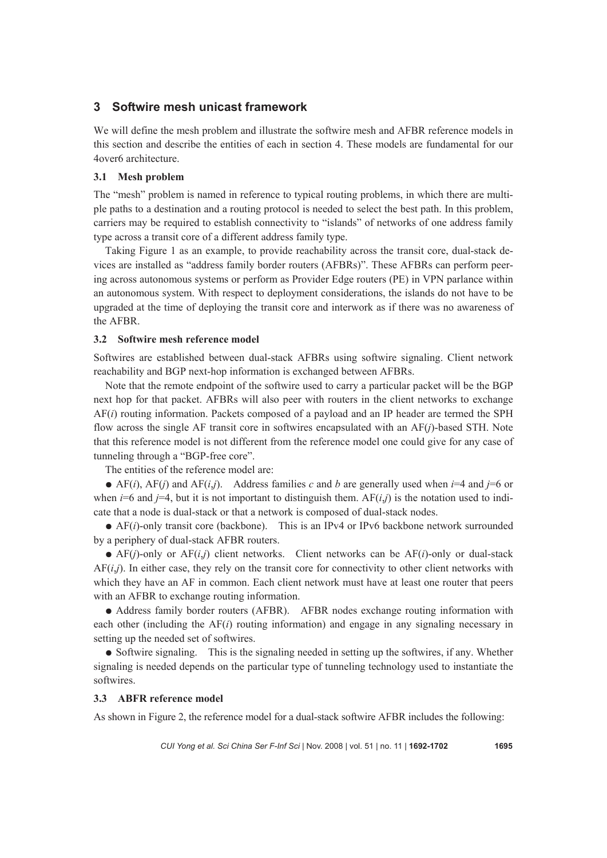# **3 Softwire mesh unicast framework**

We will define the mesh problem and illustrate the softwire mesh and AFBR reference models in this section and describe the entities of each in section 4. These models are fundamental for our 4over6 architecture.

## **3.1 Mesh problem**

The "mesh" problem is named in reference to typical routing problems, in which there are multiple paths to a destination and a routing protocol is needed to select the best path. In this problem, carriers may be required to establish connectivity to "islands" of networks of one address family type across a transit core of a different address family type.

Taking Figure 1 as an example, to provide reachability across the transit core, dual-stack devices are installed as "address family border routers (AFBRs)". These AFBRs can perform peering across autonomous systems or perform as Provider Edge routers (PE) in VPN parlance within an autonomous system. With respect to deployment considerations, the islands do not have to be upgraded at the time of deploying the transit core and interwork as if there was no awareness of the AFBR.

## **3.2 Softwire mesh reference model**

Softwires are established between dual-stack AFBRs using softwire signaling. Client network reachability and BGP next-hop information is exchanged between AFBRs.

Note that the remote endpoint of the softwire used to carry a particular packet will be the BGP next hop for that packet. AFBRs will also peer with routers in the client networks to exchange AF(*i*) routing information. Packets composed of a payload and an IP header are termed the SPH flow across the single AF transit core in softwires encapsulated with an AF(*j*)-based STH. Note that this reference model is not different from the reference model one could give for any case of tunneling through a "BGP-free core".

The entities of the reference model are:

 $\bullet$  AF(*i*), AF(*j*) and AF(*i,j*). Address families *c* and *b* are generally used when *i*=4 and *j*=6 or when  $i=6$  and  $i=4$ , but it is not important to distinguish them.  $AF(i, i)$  is the notation used to indicate that a node is dual-stack or that a network is composed of dual-stack nodes.

● AF(*i*)-only transit core (backbone). This is an IPv4 or IPv6 backbone network surrounded by a periphery of dual-stack AFBR routers.

 $\bullet$  AF(*i*)-only or AF(*i,j*) client networks. Client networks can be AF(*i*)-only or dual-stack AF(*i*,*j*). In either case, they rely on the transit core for connectivity to other client networks with which they have an AF in common. Each client network must have at least one router that peers with an AFBR to exchange routing information.

● Address family border routers (AFBR). AFBR nodes exchange routing information with each other (including the AF(*i*) routing information) and engage in any signaling necessary in setting up the needed set of softwires.

• Softwire signaling. This is the signaling needed in setting up the softwires, if any. Whether signaling is needed depends on the particular type of tunneling technology used to instantiate the softwires.

## **3.3 ABFR reference model**

As shown in Figure 2, the reference model for a dual-stack softwire AFBR includes the following: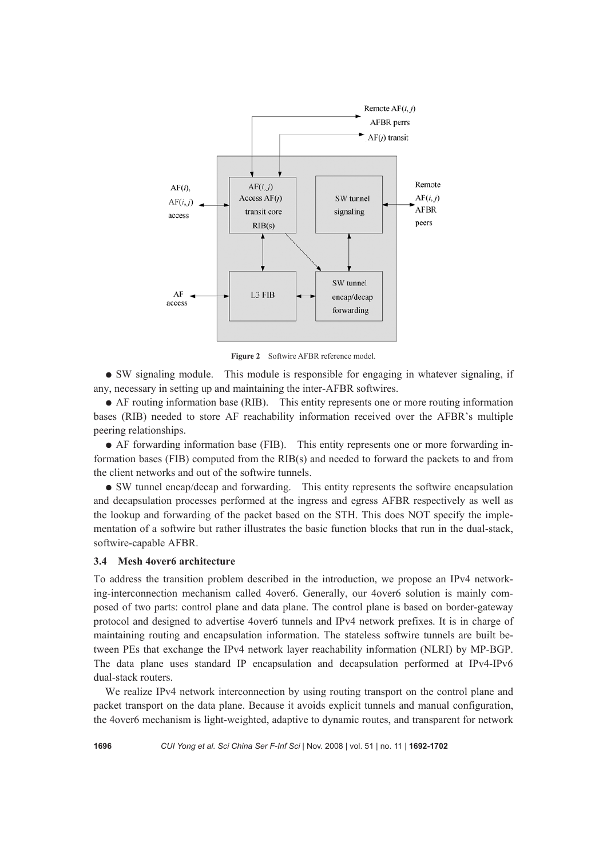

**Figure 2** Softwire AFBR reference model.

● SW signaling module. This module is responsible for engaging in whatever signaling, if any, necessary in setting up and maintaining the inter-AFBR softwires.

● AF routing information base (RIB). This entity represents one or more routing information bases (RIB) needed to store AF reachability information received over the AFBR's multiple peering relationships.

● AF forwarding information base (FIB). This entity represents one or more forwarding information bases (FIB) computed from the RIB(s) and needed to forward the packets to and from the client networks and out of the softwire tunnels.

● SW tunnel encap/decap and forwarding. This entity represents the softwire encapsulation and decapsulation processes performed at the ingress and egress AFBR respectively as well as the lookup and forwarding of the packet based on the STH. This does NOT specify the implementation of a softwire but rather illustrates the basic function blocks that run in the dual-stack, softwire-capable AFBR.

#### **3.4 Mesh 4over6 architecture**

To address the transition problem described in the introduction, we propose an IPv4 networking-interconnection mechanism called 4over6. Generally, our 4over6 solution is mainly composed of two parts: control plane and data plane. The control plane is based on border-gateway protocol and designed to advertise 4over6 tunnels and IPv4 network prefixes. It is in charge of maintaining routing and encapsulation information. The stateless softwire tunnels are built between PEs that exchange the IPv4 network layer reachability information (NLRI) by MP-BGP. The data plane uses standard IP encapsulation and decapsulation performed at IPv4-IPv6 dual-stack routers.

We realize IPv4 network interconnection by using routing transport on the control plane and packet transport on the data plane. Because it avoids explicit tunnels and manual configuration, the 4over6 mechanism is light-weighted, adaptive to dynamic routes, and transparent for network

**1696** *CUI Yong et al. Sci China Ser F-Inf Sci* | Nov. 2008 | vol. 51 | no. 11 | **1692-1702**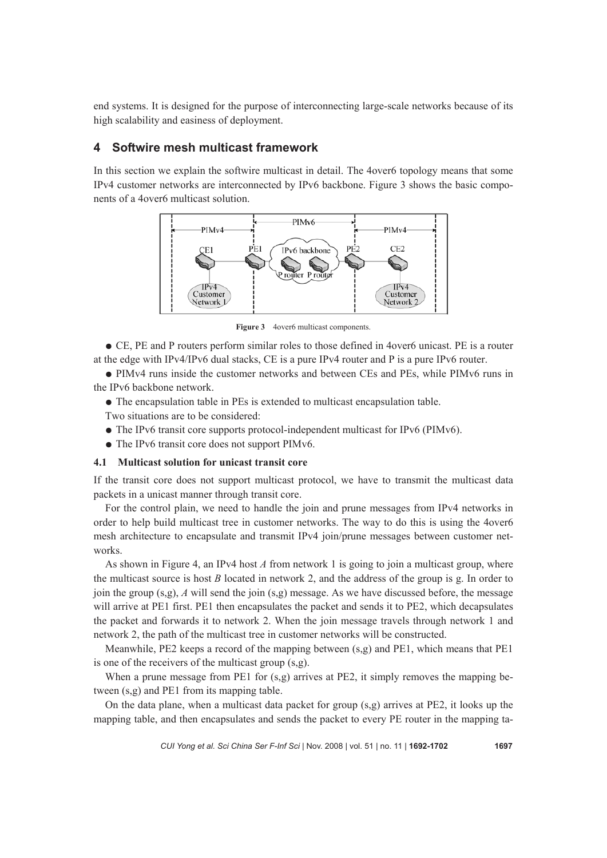end systems. It is designed for the purpose of interconnecting large-scale networks because of its high scalability and easiness of deployment.

# **4 Softwire mesh multicast framework**

In this section we explain the softwire multicast in detail. The 4over6 topology means that some IPv4 customer networks are interconnected by IPv6 backbone. Figure 3 shows the basic components of a 4over6 multicast solution.



**Figure 3** 4over6 multicast components.

● CE, PE and P routers perform similar roles to those defined in 4over6 unicast. PE is a router at the edge with IPv4/IPv6 dual stacks, CE is a pure IPv4 router and P is a pure IPv6 router.

● PIMv4 runs inside the customer networks and between CEs and PEs, while PIMv6 runs in the IPv6 backbone network.

● The encapsulation table in PEs is extended to multicast encapsulation table.

Two situations are to be considered:

- $\bullet$  The IPv6 transit core supports protocol-independent multicast for IPv6 (PIMv6).
- The IPv6 transit core does not support PIMv6.

# **4.1 Multicast solution for unicast transit core**

If the transit core does not support multicast protocol, we have to transmit the multicast data packets in a unicast manner through transit core.

For the control plain, we need to handle the join and prune messages from IPv4 networks in order to help build multicast tree in customer networks. The way to do this is using the 4over6 mesh architecture to encapsulate and transmit IPv4 join/prune messages between customer networks.

As shown in Figure 4, an IPv4 host *A* from network 1 is going to join a multicast group, where the multicast source is host *B* located in network 2, and the address of the group is g. In order to join the group  $(s,g)$ , *A* will send the join  $(s,g)$  message. As we have discussed before, the message will arrive at PE1 first. PE1 then encapsulates the packet and sends it to PE2, which decapsulates the packet and forwards it to network 2. When the join message travels through network 1 and network 2, the path of the multicast tree in customer networks will be constructed.

Meanwhile, PE2 keeps a record of the mapping between (s,g) and PE1, which means that PE1 is one of the receivers of the multicast group (s,g).

When a prune message from PE1 for  $(s,g)$  arrives at PE2, it simply removes the mapping between (s,g) and PE1 from its mapping table.

On the data plane, when a multicast data packet for group (s,g) arrives at PE2, it looks up the mapping table, and then encapsulates and sends the packet to every PE router in the mapping ta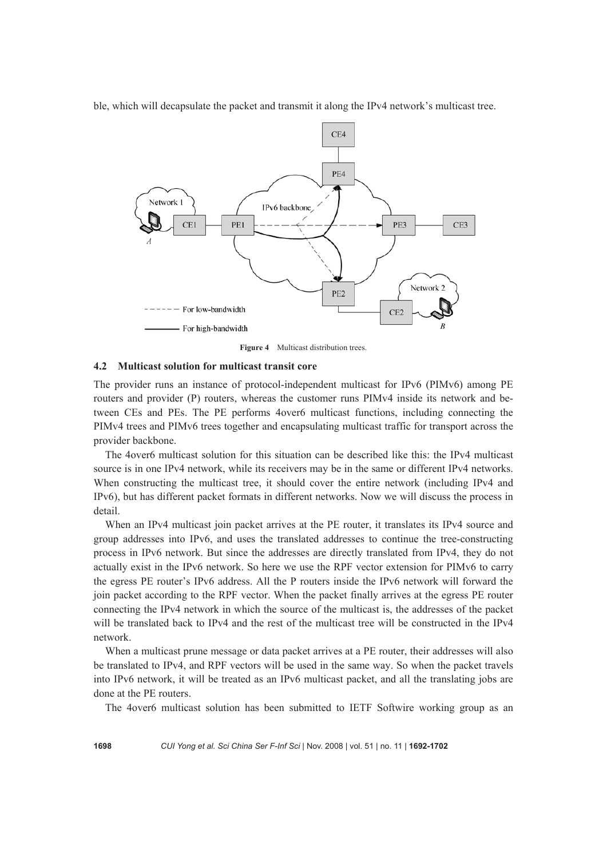ble, which will decapsulate the packet and transmit it along the IPv4 network's multicast tree.



**Figure 4** Multicast distribution trees.

## **4.2 Multicast solution for multicast transit core**

The provider runs an instance of protocol-independent multicast for IPv6 (PIMv6) among PE routers and provider (P) routers, whereas the customer runs PIMv4 inside its network and between CEs and PEs. The PE performs 4over6 multicast functions, including connecting the PIMv4 trees and PIMv6 trees together and encapsulating multicast traffic for transport across the provider backbone.

The 4over6 multicast solution for this situation can be described like this: the IPv4 multicast source is in one IPv4 network, while its receivers may be in the same or different IPv4 networks. When constructing the multicast tree, it should cover the entire network (including IPv4 and IPv6), but has different packet formats in different networks. Now we will discuss the process in detail.

When an IPv4 multicast join packet arrives at the PE router, it translates its IPv4 source and group addresses into IPv6, and uses the translated addresses to continue the tree-constructing process in IPv6 network. But since the addresses are directly translated from IPv4, they do not actually exist in the IPv6 network. So here we use the RPF vector extension for PIMv6 to carry the egress PE router's IPv6 address. All the P routers inside the IPv6 network will forward the join packet according to the RPF vector. When the packet finally arrives at the egress PE router connecting the IPv4 network in which the source of the multicast is, the addresses of the packet will be translated back to IPv4 and the rest of the multicast tree will be constructed in the IPv4 network.

When a multicast prune message or data packet arrives at a PE router, their addresses will also be translated to IPv4, and RPF vectors will be used in the same way. So when the packet travels into IPv6 network, it will be treated as an IPv6 multicast packet, and all the translating jobs are done at the PE routers.

The 4over6 multicast solution has been submitted to IETF Softwire working group as an

**1698** *CUI Yong et al. Sci China Ser F-Inf Sci* | Nov. 2008 | vol. 51 | no. 11 | **1692-1702**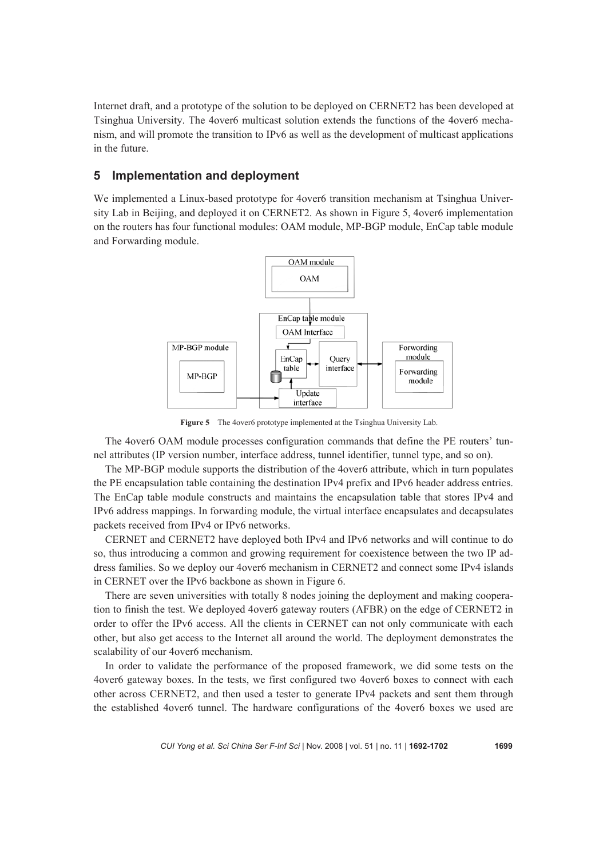Internet draft, and a prototype of the solution to be deployed on CERNET2 has been developed at Tsinghua University. The 4over6 multicast solution extends the functions of the 4over6 mechanism, and will promote the transition to IPv6 as well as the development of multicast applications in the future.

# **5 Implementation and deployment**

We implemented a Linux-based prototype for 4over6 transition mechanism at Tsinghua University Lab in Beijing, and deployed it on CERNET2. As shown in Figure 5, 4over6 implementation on the routers has four functional modules: OAM module, MP-BGP module, EnCap table module and Forwarding module.



**Figure 5** The 4over6 prototype implemented at the Tsinghua University Lab.

The 4over6 OAM module processes configuration commands that define the PE routers' tunnel attributes (IP version number, interface address, tunnel identifier, tunnel type, and so on).

The MP-BGP module supports the distribution of the 4over6 attribute, which in turn populates the PE encapsulation table containing the destination IPv4 prefix and IPv6 header address entries. The EnCap table module constructs and maintains the encapsulation table that stores IPv4 and IPv6 address mappings. In forwarding module, the virtual interface encapsulates and decapsulates packets received from IPv4 or IPv6 networks.

CERNET and CERNET2 have deployed both IPv4 and IPv6 networks and will continue to do so, thus introducing a common and growing requirement for coexistence between the two IP address families. So we deploy our 4over6 mechanism in CERNET2 and connect some IPv4 islands in CERNET over the IPv6 backbone as shown in Figure 6.

There are seven universities with totally 8 nodes joining the deployment and making cooperation to finish the test. We deployed 4over6 gateway routers (AFBR) on the edge of CERNET2 in order to offer the IPv6 access. All the clients in CERNET can not only communicate with each other, but also get access to the Internet all around the world. The deployment demonstrates the scalability of our 4over6 mechanism.

In order to validate the performance of the proposed framework, we did some tests on the 4over6 gateway boxes. In the tests, we first configured two 4over6 boxes to connect with each other across CERNET2, and then used a tester to generate IPv4 packets and sent them through the established 4over6 tunnel. The hardware configurations of the 4over6 boxes we used are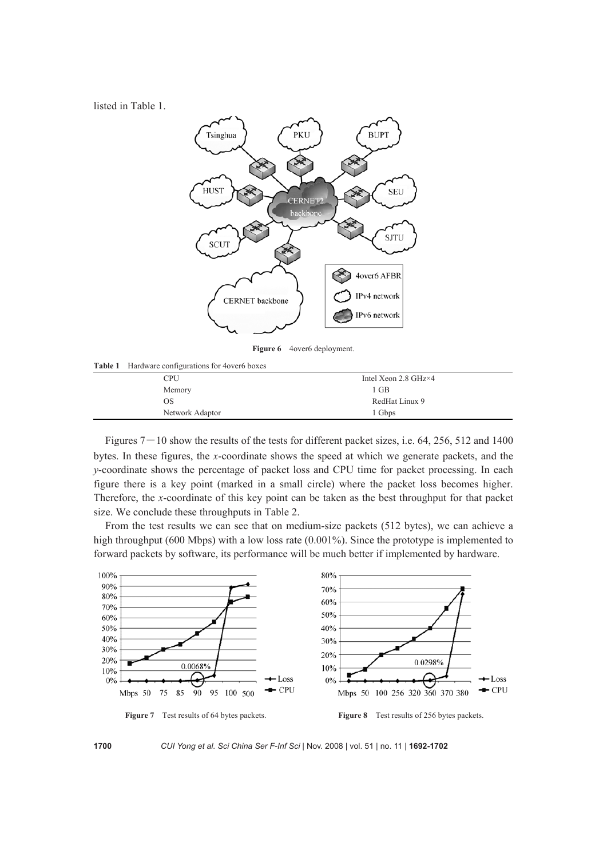listed in Table 1.



**Figure 6** 4over6 deployment.

**Table 1** Hardware configurations for 4over6 boxes

| ~               |                                       |  |
|-----------------|---------------------------------------|--|
| CPU             | Intel Xeon $2.8 \text{ GHz} \times 4$ |  |
| Memory          | 1 GB                                  |  |
| OS              | RedHat Linux 9                        |  |
| Network Adaptor | 1 Gbps                                |  |
|                 |                                       |  |

Figures  $7-10$  show the results of the tests for different packet sizes, i.e. 64, 256, 512 and 1400 bytes. In these figures, the *x*-coordinate shows the speed at which we generate packets, and the *y*-coordinate shows the percentage of packet loss and CPU time for packet processing. In each figure there is a key point (marked in a small circle) where the packet loss becomes higher. Therefore, the *x*-coordinate of this key point can be taken as the best throughput for that packet size. We conclude these throughputs in Table 2.

From the test results we can see that on medium-size packets (512 bytes), we can achieve a high throughput (600 Mbps) with a low loss rate (0.001%). Since the prototype is implemented to forward packets by software, its performance will be much better if implemented by hardware.



**1700** *CUI Yong et al. Sci China Ser F-Inf Sci* | Nov. 2008 | vol. 51 | no. 11 | **1692-1702**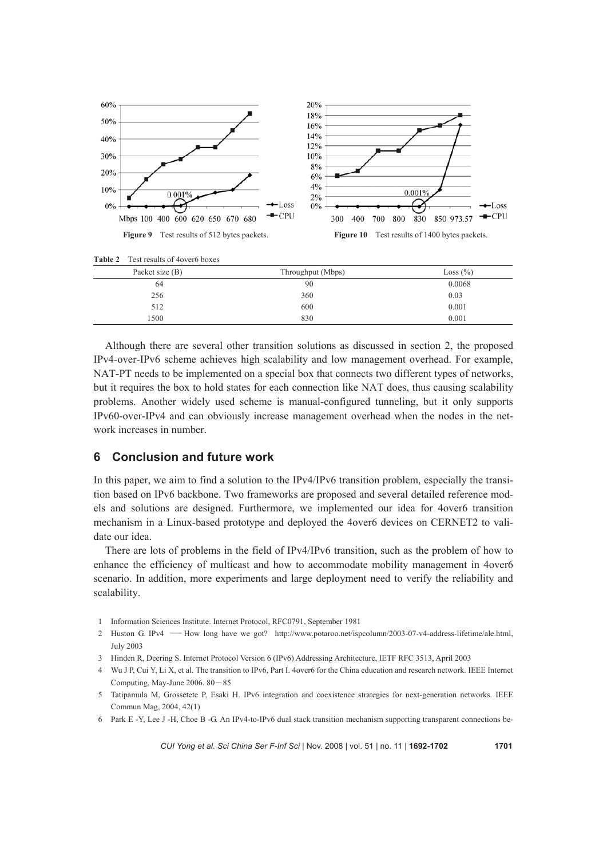

| <b>Table 2</b> Test results of 4 over 6 boxes |  |
|-----------------------------------------------|--|
|-----------------------------------------------|--|

| Packet size (B) | Throughput (Mbps) | Loss $(\% )$ |
|-----------------|-------------------|--------------|
| 64              | 90                | 0.0068       |
| 256             | 360               | 0.03         |
| 512             | 600               | 0.001        |
| 1500            | 830               | 0.001        |

Although there are several other transition solutions as discussed in section 2, the proposed IPv4-over-IPv6 scheme achieves high scalability and low management overhead. For example, NAT-PT needs to be implemented on a special box that connects two different types of networks, but it requires the box to hold states for each connection like NAT does, thus causing scalability problems. Another widely used scheme is manual-configured tunneling, but it only supports IPv60-over-IPv4 and can obviously increase management overhead when the nodes in the network increases in number.

## **6 Conclusion and future work**

In this paper, we aim to find a solution to the IPv4/IPv6 transition problem, especially the transition based on IPv6 backbone. Two frameworks are proposed and several detailed reference models and solutions are designed. Furthermore, we implemented our idea for 4over6 transition mechanism in a Linux-based prototype and deployed the 4over6 devices on CERNET2 to validate our idea.

There are lots of problems in the field of IPv4/IPv6 transition, such as the problem of how to enhance the efficiency of multicast and how to accommodate mobility management in 4over6 scenario. In addition, more experiments and large deployment need to verify the reliability and scalability.

- 1 Information Sciences Institute. Internet Protocol, RFC0791, September 1981
- 2 Huston G. IPv4 ―How long have we got? http://www.potaroo.net/ispcolumn/2003-07-v4-address-lifetime/ale.html, July 2003
- 3 Hinden R, Deering S. Internet Protocol Version 6 (IPv6) Addressing Architecture, IETF RFC 3513, April 2003
- 4 Wu J P, Cui Y, Li X, et al. The transition to IPv6, Part I. 4over6 for the China education and research network. IEEE Internet Computing, May-June 2006. 80―85
- 5 Tatipamula M, Grossetete P, Esaki H. IPv6 integration and coexistence strategies for next-generation networks. IEEE Commun Mag, 2004, 42(1)
- 6 Park E -Y, Lee J -H, Choe B -G. An IPv4-to-IPv6 dual stack transition mechanism supporting transparent connections be-

*CUI Yong et al. Sci China Ser F-Inf Sci* | Nov. 2008 | vol. 51 | no. 11 | **1692-1702 1701**